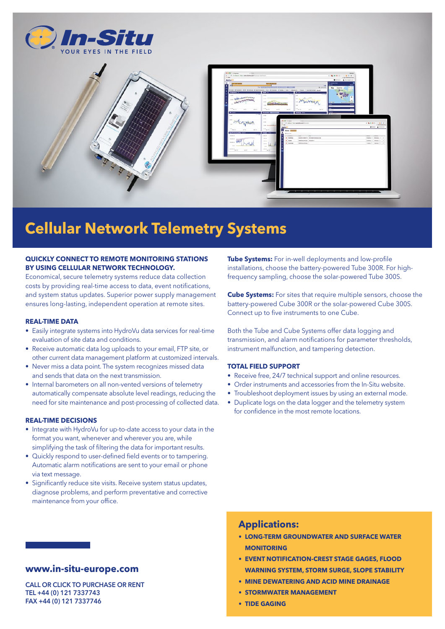



# **Cellular Network Telemetry Systems**

### **QUICKLY CONNECT TO REMOTE MONITORING STATIONS BY USING CELLULAR NETWORK TECHNOLOGY.**

Economical, secure telemetry systems reduce data collection costs by providing real-time access to data, event notifications, and system status updates. Superior power supply management ensures long-lasting, independent operation at remote sites.

#### **REAL-TIME DATA**

- Easily integrate systems into HydroVu data services for real-time evaluation of site data and conditions.
- Receive automatic data log uploads to your email, FTP site, or other current data management platform at customized intervals.
- Never miss a data point. The system recognizes missed data and sends that data on the next transmission.
- Internal barometers on all non-vented versions of telemetry automatically compensate absolute level readings, reducing the need for site maintenance and post-processing of collected data.

#### **REAL-TIME DECISIONS**

- Integrate with HydroVu for up-to-date access to your data in the format you want, whenever and wherever you are, while simplifying the task of filtering the data for important results.
- Quickly respond to user-defined field events or to tampering. Automatic alarm notifications are sent to your email or phone via text message.
- Significantly reduce site visits. Receive system status updates, diagnose problems, and perform preventative and corrective maintenance from your office.

## **www.in-situ-europe.com**

CALL OR CLICK TO PURCHASE OR RENT TEL +44 (0) 121 7337743 FAX +44 (0) 121 7337746

**Tube Systems:** For in-well deployments and low-profile installations, choose the battery-powered Tube 300R. For highfrequency sampling, choose the solar-powered Tube 300S.

**Cube Systems:** For sites that require multiple sensors, choose the battery-powered Cube 300R or the solar-powered Cube 300S. Connect up to five instruments to one Cube.

Both the Tube and Cube Systems offer data logging and transmission, and alarm notifications for parameter thresholds, instrument malfunction, and tampering detection.

#### **TOTAL FIELD SUPPORT**

- Receive free, 24/7 technical support and online resources.
- Order instruments and accessories from the In-Situ website.
- Troubleshoot deployment issues by using an external mode.
- Duplicate logs on the data logger and the telemetry system for confidence in the most remote locations.

## **Applications:**

- **• LONG-TERM GROUNDWATER AND SURFACE WATER MONITOPING**
- **• EVENT NOTIFICATION-CREST STAGE GAGES, FLOOD WARNING SYSTEM, STORM SURGE, SLOPE STABILITY**
- **• MINE DEWATERING AND ACID MINE DRAINAGE**
- **• STORMWATER MANAGEMENT**
- **• TIDE GAGING**